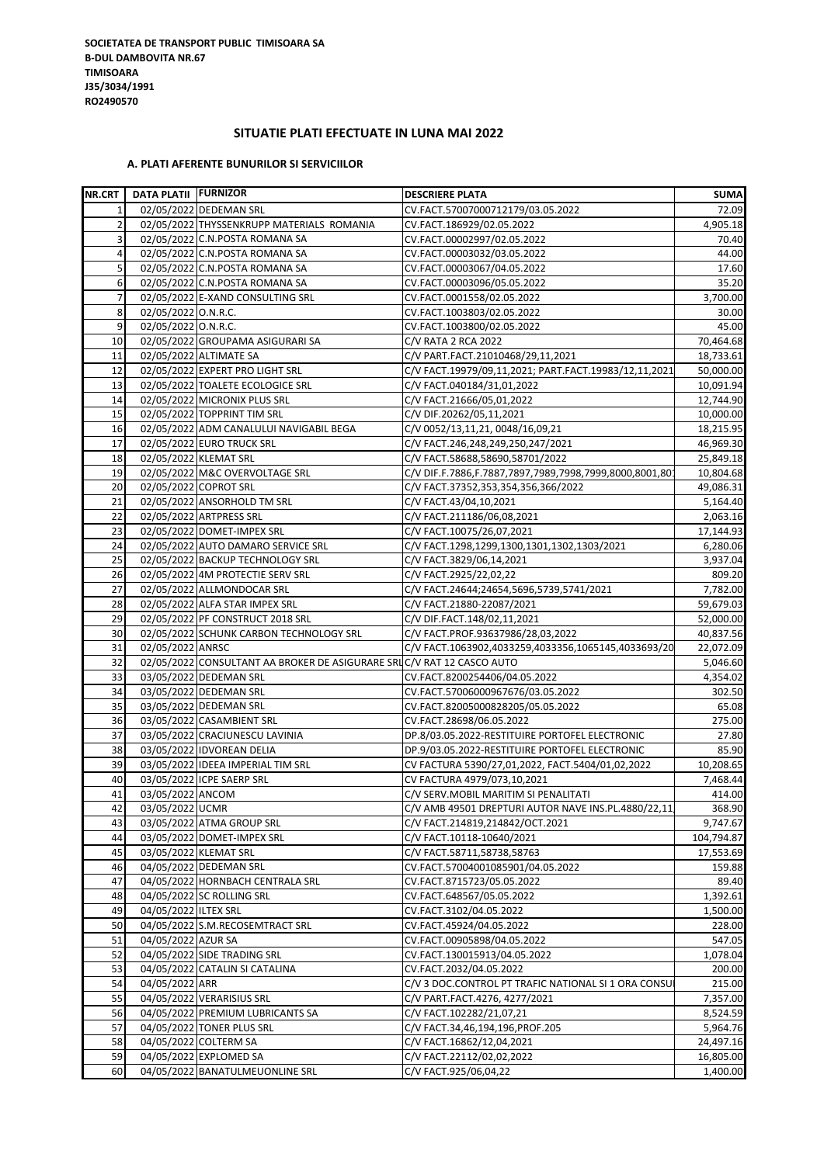## **SITUATIE PLATI EFECTUATE IN LUNA MAI 2022**

## **A. PLATI AFERENTE BUNURILOR SI SERVICIILOR**

| <b>NR.CRT</b>  | <b>DATA PLATII FURNIZOR</b> |                                                                       | <b>DESCRIERE PLATA</b>                                  | <b>SUMA</b> |
|----------------|-----------------------------|-----------------------------------------------------------------------|---------------------------------------------------------|-------------|
| $\mathbf{1}$   |                             | 02/05/2022 DEDEMAN SRL                                                | CV.FACT.57007000712179/03.05.2022                       | 72.09       |
| $\overline{2}$ |                             | 02/05/2022 THYSSENKRUPP MATERIALS ROMANIA                             | CV.FACT.186929/02.05.2022                               | 4,905.18    |
| 3              |                             | 02/05/2022 C.N.POSTA ROMANA SA                                        | CV.FACT.00002997/02.05.2022                             | 70.40       |
| 4              |                             | 02/05/2022 C.N.POSTA ROMANA SA                                        | CV.FACT.00003032/03.05.2022                             | 44.00       |
| 5              |                             | 02/05/2022 C.N.POSTA ROMANA SA                                        | CV.FACT.00003067/04.05.2022                             | 17.60       |
| 6              |                             | 02/05/2022 C.N.POSTA ROMANA SA                                        | CV.FACT.00003096/05.05.2022                             | 35.20       |
| $\overline{7}$ |                             | 02/05/2022 E-XAND CONSULTING SRL                                      | CV.FACT.0001558/02.05.2022                              | 3,700.00    |
| 8              | 02/05/2022 O.N.R.C.         |                                                                       | CV.FACT.1003803/02.05.2022                              | 30.00       |
| 9              | 02/05/2022 O.N.R.C.         |                                                                       | CV.FACT.1003800/02.05.2022                              | 45.00       |
| 10             |                             | 02/05/2022 GROUPAMA ASIGURARI SA                                      | C/V RATA 2 RCA 2022                                     | 70,464.68   |
| 11             |                             | 02/05/2022 ALTIMATE SA                                                | C/V PART.FACT.21010468/29,11,2021                       | 18,733.61   |
| 12             |                             | 02/05/2022 EXPERT PRO LIGHT SRL                                       | C/V FACT.19979/09,11,2021; PART.FACT.19983/12,11,2021   | 50,000.00   |
| 13             |                             | 02/05/2022 TOALETE ECOLOGICE SRL                                      | C/V FACT.040184/31,01,2022                              | 10,091.94   |
| 14             |                             | 02/05/2022 MICRONIX PLUS SRL                                          | C/V FACT.21666/05,01,2022                               | 12,744.90   |
| 15             |                             | 02/05/2022 TOPPRINT TIM SRL                                           | C/V DIF.20262/05,11,2021                                | 10,000.00   |
| 16             |                             | 02/05/2022 ADM CANALULUI NAVIGABIL BEGA                               | C/V 0052/13,11,21, 0048/16,09,21                        | 18,215.95   |
| 17             |                             | 02/05/2022 EURO TRUCK SRL                                             | C/V FACT.246,248,249,250,247/2021                       | 46,969.30   |
| 18             |                             | 02/05/2022 KLEMAT SRL                                                 | C/V FACT.58688,58690,58701/2022                         | 25,849.18   |
| 19             |                             | 02/05/2022 M&C OVERVOLTAGE SRL                                        | C/V DIF.F.7886,F.7887,7897,7989,7998,7999,8000,8001,801 | 10,804.68   |
| 20             |                             | 02/05/2022 COPROT SRL                                                 | C/V FACT.37352,353,354,356,366/2022                     | 49,086.31   |
| 21             |                             | 02/05/2022 ANSORHOLD TM SRL                                           | C/V FACT.43/04,10,2021                                  | 5,164.40    |
| 22             |                             | 02/05/2022 ARTPRESS SRL                                               | C/V FACT.211186/06,08,2021                              | 2,063.16    |
| 23             |                             | 02/05/2022 DOMET-IMPEX SRL                                            | C/V FACT.10075/26,07,2021                               | 17,144.93   |
| 24             |                             | 02/05/2022 AUTO DAMARO SERVICE SRL                                    | C/V FACT.1298,1299,1300,1301,1302,1303/2021             | 6,280.06    |
| 25             |                             | 02/05/2022 BACKUP TECHNOLOGY SRL                                      | C/V FACT.3829/06,14,2021                                | 3,937.04    |
| 26             |                             | 02/05/2022 4M PROTECTIE SERV SRL                                      | C/V FACT.2925/22,02,22                                  | 809.20      |
| 27             |                             | 02/05/2022 ALLMONDOCAR SRL                                            | C/V FACT.24644;24654,5696,5739,5741/2021                | 7,782.00    |
| 28             |                             | 02/05/2022 ALFA STAR IMPEX SRL                                        | C/V FACT.21880-22087/2021                               | 59,679.03   |
| 29             |                             | 02/05/2022 PF CONSTRUCT 2018 SRL                                      | C/V DIF.FACT.148/02,11,2021                             | 52,000.00   |
| 30             |                             | 02/05/2022 SCHUNK CARBON TECHNOLOGY SRL                               | C/V FACT.PROF.93637986/28,03,2022                       | 40,837.56   |
| 31             | 02/05/2022 ANRSC            |                                                                       | C/V FACT.1063902,4033259,4033356,1065145,4033693/20     | 22,072.09   |
| 32             |                             | 02/05/2022 CONSULTANT AA BROKER DE ASIGURARE SRUC/V RAT 12 CASCO AUTO |                                                         | 5,046.60    |
| 33             |                             | 03/05/2022 DEDEMAN SRL                                                | CV.FACT.8200254406/04.05.2022                           | 4,354.02    |
| 34             |                             | 03/05/2022 DEDEMAN SRL                                                | CV.FACT.57006000967676/03.05.2022                       | 302.50      |
| 35             |                             | 03/05/2022 DEDEMAN SRL                                                | CV.FACT.82005000828205/05.05.2022                       | 65.08       |
| 36             |                             | 03/05/2022 CASAMBIENT SRL                                             | CV.FACT.28698/06.05.2022                                | 275.00      |
| 37             |                             | 03/05/2022 CRACIUNESCU LAVINIA                                        | DP.8/03.05.2022-RESTITUIRE PORTOFEL ELECTRONIC          | 27.80       |
| 38             |                             | 03/05/2022 IDVOREAN DELIA                                             | DP.9/03.05.2022-RESTITUIRE PORTOFEL ELECTRONIC          | 85.90       |
| 39             |                             | 03/05/2022 IDEEA IMPERIAL TIM SRL                                     | CV FACTURA 5390/27,01,2022, FACT.5404/01,02,2022        | 10,208.65   |
| 40             |                             | 03/05/2022 ICPE SAERP SRL                                             | CV FACTURA 4979/073,10,2021                             | 7,468.44    |
| 41             | 03/05/2022 ANCOM            |                                                                       | C/V SERV.MOBIL MARITIM SI PENALITATI                    | 414.00      |
| 42             | 03/05/2022 UCMR             |                                                                       | C/V AMB 49501 DREPTURI AUTOR NAVE INS.PL.4880/22,11     | 368.90      |
| 43             |                             | 03/05/2022 ATMA GROUP SRL                                             | C/V FACT.214819,214842/OCT.2021                         | 9,747.67    |
| 44             |                             | 03/05/2022 DOMET-IMPEX SRL                                            | C/V FACT.10118-10640/2021                               | 104,794.87  |
| 45             |                             | 03/05/2022 KLEMAT SRL                                                 | C/V FACT.58711,58738,58763                              | 17,553.69   |
| 46             |                             | 04/05/2022 DEDEMAN SRL                                                | CV.FACT.57004001085901/04.05.2022                       | 159.88      |
| 47             |                             | 04/05/2022 HORNBACH CENTRALA SRL                                      | CV.FACT.8715723/05.05.2022                              | 89.40       |
| 48             |                             | 04/05/2022 SC ROLLING SRL                                             | CV.FACT.648567/05.05.2022                               | 1,392.61    |
| 49             | 04/05/2022 ILTEX SRL        |                                                                       | CV.FACT.3102/04.05.2022                                 | 1,500.00    |
| 50             |                             | 04/05/2022 S.M.RECOSEMTRACT SRL                                       | CV.FACT.45924/04.05.2022                                | 228.00      |
| 51             | 04/05/2022 AZUR SA          |                                                                       | CV.FACT.00905898/04.05.2022                             | 547.05      |
| 52             |                             | 04/05/2022 SIDE TRADING SRL                                           | CV.FACT.130015913/04.05.2022                            | 1,078.04    |
| 53             |                             | 04/05/2022 CATALIN SI CATALINA                                        | CV.FACT.2032/04.05.2022                                 | 200.00      |
| 54             | 04/05/2022 ARR              |                                                                       | C/V 3 DOC.CONTROL PT TRAFIC NATIONAL SI 1 ORA CONSU     | 215.00      |
| 55             |                             | 04/05/2022 VERARISIUS SRL                                             | C/V PART.FACT.4276, 4277/2021                           | 7,357.00    |
| 56             |                             | 04/05/2022 PREMIUM LUBRICANTS SA                                      | C/V FACT.102282/21,07,21                                | 8,524.59    |
| 57             |                             | 04/05/2022 TONER PLUS SRL                                             | C/V FACT.34,46,194,196,PROF.205                         | 5,964.76    |
| 58             |                             | 04/05/2022 COLTERM SA                                                 | C/V FACT.16862/12,04,2021                               | 24,497.16   |
| 59             |                             | 04/05/2022 EXPLOMED SA                                                | C/V FACT.22112/02,02,2022                               | 16,805.00   |
| 60             |                             | 04/05/2022 BANATULMEUONLINE SRL                                       | C/V FACT.925/06,04,22                                   | 1,400.00    |
|                |                             |                                                                       |                                                         |             |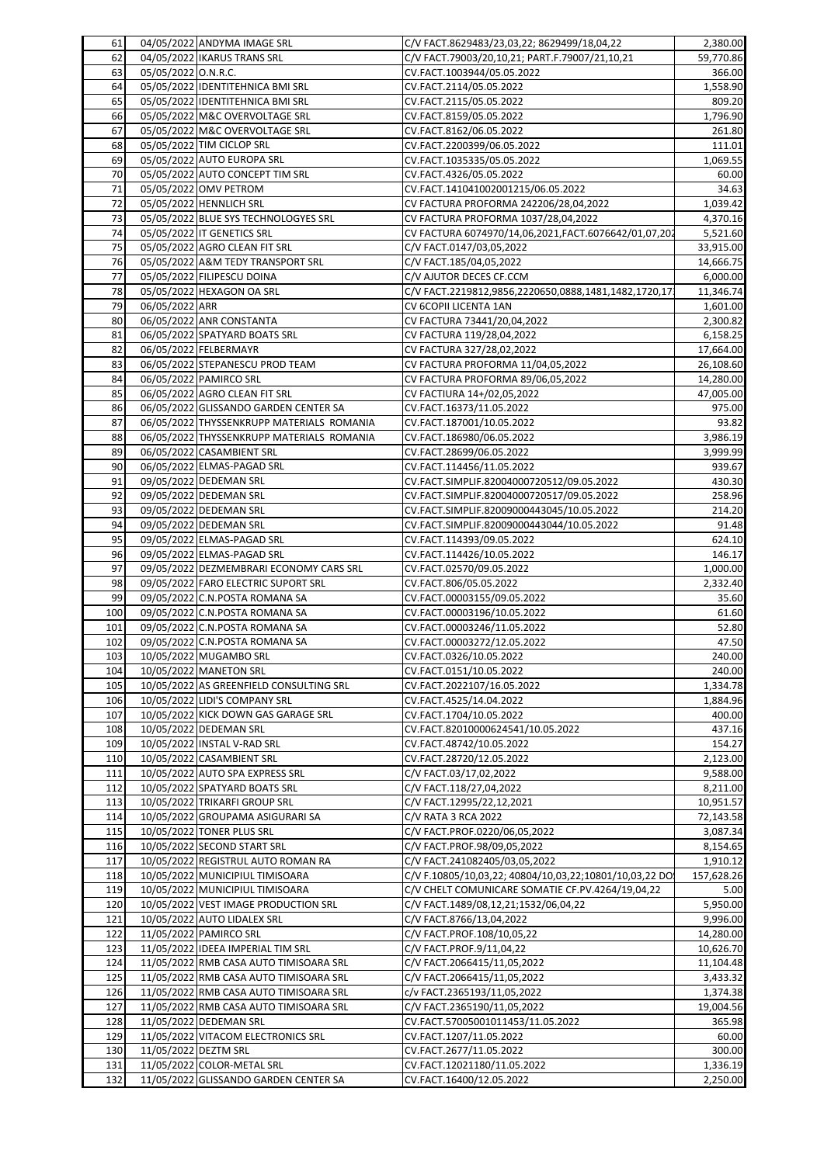| 61  |                     | 04/05/2022 ANDYMA IMAGE SRL               | C/V FACT.8629483/23,03,22; 8629499/18,04,22            | 2,380.00   |
|-----|---------------------|-------------------------------------------|--------------------------------------------------------|------------|
| 62  |                     | 04/05/2022 IKARUS TRANS SRL               | C/V FACT.79003/20,10,21; PART.F.79007/21,10,21         | 59,770.86  |
| 63  | 05/05/2022 O.N.R.C. |                                           | CV.FACT.1003944/05.05.2022                             | 366.00     |
| 64  |                     | 05/05/2022 IDENTITEHNICA BMI SRL          | CV.FACT.2114/05.05.2022                                | 1,558.90   |
| 65  |                     | 05/05/2022 IDENTITEHNICA BMI SRL          | CV.FACT.2115/05.05.2022                                | 809.20     |
| 66  |                     | 05/05/2022 M&C OVERVOLTAGE SRL            | CV.FACT.8159/05.05.2022                                | 1,796.90   |
| 67  |                     | 05/05/2022 M&C OVERVOLTAGE SRL            | CV.FACT.8162/06.05.2022                                | 261.80     |
| 68  |                     | 05/05/2022 TIM CICLOP SRL                 | CV.FACT.2200399/06.05.2022                             | 111.01     |
|     |                     |                                           |                                                        |            |
| 69  |                     | 05/05/2022 AUTO EUROPA SRL                | CV.FACT.1035335/05.05.2022                             | 1,069.55   |
| 70  |                     | 05/05/2022 AUTO CONCEPT TIM SRL           | CV.FACT.4326/05.05.2022                                | 60.00      |
| 71  |                     | 05/05/2022 OMV PETROM                     | CV.FACT.141041002001215/06.05.2022                     | 34.63      |
| 72  |                     | 05/05/2022 HENNLICH SRL                   | CV FACTURA PROFORMA 242206/28,04,2022                  | 1,039.42   |
| 73  |                     | 05/05/2022 BLUE SYS TECHNOLOGYES SRL      | CV FACTURA PROFORMA 1037/28,04,2022                    | 4,370.16   |
| 74  |                     | 05/05/2022 IT GENETICS SRL                | CV FACTURA 6074970/14,06,2021,FACT.6076642/01,07,202   | 5,521.60   |
| 75  |                     | 05/05/2022 AGRO CLEAN FIT SRL             | C/V FACT.0147/03,05,2022                               | 33,915.00  |
| 76  |                     | 05/05/2022 A&M TEDY TRANSPORT SRL         | C/V FACT.185/04,05,2022                                | 14,666.75  |
| 77  |                     | 05/05/2022 FILIPESCU DOINA                | C/V AJUTOR DECES CF.CCM                                | 6,000.00   |
| 78  |                     | 05/05/2022 HEXAGON OA SRL                 | C/V FACT.2219812,9856,2220650,0888,1481,1482,1720,17   | 11,346.74  |
|     |                     |                                           |                                                        |            |
| 79  | 06/05/2022 ARR      |                                           | CV 6COPII LICENTA 1AN                                  | 1,601.00   |
| 80  |                     | 06/05/2022 ANR CONSTANTA                  | CV FACTURA 73441/20,04,2022                            | 2,300.82   |
| 81  |                     | 06/05/2022 SPATYARD BOATS SRL             | CV FACTURA 119/28,04,2022                              | 6,158.25   |
| 82  |                     | 06/05/2022 FELBERMAYR                     | CV FACTURA 327/28,02,2022                              | 17,664.00  |
| 83  |                     | 06/05/2022 STEPANESCU PROD TEAM           | CV FACTURA PROFORMA 11/04,05,2022                      | 26,108.60  |
| 84  |                     | 06/05/2022 PAMIRCO SRL                    | CV FACTURA PROFORMA 89/06,05,2022                      | 14,280.00  |
| 85  |                     | 06/05/2022 AGRO CLEAN FIT SRL             | CV FACTIURA 14+/02,05,2022                             | 47,005.00  |
| 86  |                     | 06/05/2022 GLISSANDO GARDEN CENTER SA     | CV.FACT.16373/11.05.2022                               | 975.00     |
| 87  |                     | 06/05/2022 THYSSENKRUPP MATERIALS ROMANIA | CV.FACT.187001/10.05.2022                              | 93.82      |
| 88  |                     | 06/05/2022 THYSSENKRUPP MATERIALS ROMANIA | CV.FACT.186980/06.05.2022                              | 3,986.19   |
| 89  |                     | 06/05/2022 CASAMBIENT SRL                 |                                                        | 3,999.99   |
|     |                     | 06/05/2022 ELMAS-PAGAD SRL                | CV.FACT.28699/06.05.2022                               |            |
| 90  |                     |                                           | CV.FACT.114456/11.05.2022                              | 939.67     |
| 91  |                     | 09/05/2022 DEDEMAN SRL                    | CV.FACT.SIMPLIF.82004000720512/09.05.2022              | 430.30     |
| 92  |                     | 09/05/2022 DEDEMAN SRL                    | CV.FACT.SIMPLIF.82004000720517/09.05.2022              | 258.96     |
| 93  |                     | 09/05/2022 DEDEMAN SRL                    | CV.FACT.SIMPLIF.82009000443045/10.05.2022              | 214.20     |
| 94  |                     | 09/05/2022 DEDEMAN SRL                    | CV.FACT.SIMPLIF.82009000443044/10.05.2022              | 91.48      |
| 95  |                     | 09/05/2022 ELMAS-PAGAD SRL                | CV.FACT.114393/09.05.2022                              | 624.10     |
| 96  |                     | 09/05/2022 ELMAS-PAGAD SRL                | CV.FACT.114426/10.05.2022                              | 146.17     |
| 97  |                     | 09/05/2022 DEZMEMBRARI ECONOMY CARS SRL   | CV.FACT.02570/09.05.2022                               | 1,000.00   |
| 98  |                     | 09/05/2022 FARO ELECTRIC SUPORT SRL       | CV.FACT.806/05.05.2022                                 | 2,332.40   |
| 99  |                     | 09/05/2022 C.N.POSTA ROMANA SA            | CV.FACT.00003155/09.05.2022                            | 35.60      |
| 100 |                     | 09/05/2022 C.N.POSTA ROMANA SA            | CV.FACT.00003196/10.05.2022                            | 61.60      |
|     |                     |                                           |                                                        |            |
| 101 |                     | 09/05/2022 C.N.POSTA ROMANA SA            | CV.FACT.00003246/11.05.2022                            | 52.80      |
| 102 |                     | 09/05/2022 C.N.POSTA ROMANA SA            | CV.FACT.00003272/12.05.2022                            | 47.50      |
| 103 |                     | 10/05/2022 MUGAMBO SRL                    | CV.FACT.0326/10.05.2022                                | 240.00     |
| 104 |                     | 10/05/2022 MANETON SRL                    | CV.FACT.0151/10.05.2022                                | 240.00     |
| 105 |                     | 10/05/2022 AS GREENFIELD CONSULTING SRL   | CV.FACT.2022107/16.05.2022                             | 1,334.78   |
| 106 |                     | 10/05/2022 LIDI'S COMPANY SRL             | CV.FACT.4525/14.04.2022                                | 1,884.96   |
| 107 |                     | 10/05/2022 KICK DOWN GAS GARAGE SRL       | CV.FACT.1704/10.05.2022                                | 400.00     |
| 108 |                     | 10/05/2022 DEDEMAN SRL                    | CV.FACT.82010000624541/10.05.2022                      | 437.16     |
| 109 |                     | 10/05/2022 INSTAL V-RAD SRL               | CV.FACT.48742/10.05.2022                               | 154.27     |
| 110 |                     | 10/05/2022 CASAMBIENT SRL                 | CV.FACT.28720/12.05.2022                               | 2,123.00   |
|     |                     |                                           |                                                        |            |
| 111 |                     | 10/05/2022 AUTO SPA EXPRESS SRL           | C/V FACT.03/17,02,2022                                 | 9,588.00   |
| 112 |                     | 10/05/2022 SPATYARD BOATS SRL             | C/V FACT.118/27,04,2022                                | 8,211.00   |
| 113 |                     | 10/05/2022 TRIKARFI GROUP SRL             | C/V FACT.12995/22,12,2021                              | 10,951.57  |
| 114 |                     | 10/05/2022 GROUPAMA ASIGURARI SA          | C/V RATA 3 RCA 2022                                    | 72,143.58  |
| 115 |                     | 10/05/2022 TONER PLUS SRL                 | C/V FACT.PROF.0220/06,05,2022                          | 3,087.34   |
| 116 |                     | 10/05/2022 SECOND START SRL               | C/V FACT.PROF.98/09,05,2022                            | 8,154.65   |
| 117 |                     | 10/05/2022 REGISTRUL AUTO ROMAN RA        | C/V FACT.241082405/03,05,2022                          | 1,910.12   |
| 118 |                     | 10/05/2022 MUNICIPIUL TIMISOARA           | C/V F.10805/10,03,22; 40804/10,03,22;10801/10,03,22 DO | 157,628.26 |
| 119 |                     | 10/05/2022 MUNICIPIUL TIMISOARA           | C/V CHELT COMUNICARE SOMATIE CF.PV.4264/19,04,22       | 5.00       |
| 120 |                     | 10/05/2022 VEST IMAGE PRODUCTION SRL      | C/V FACT.1489/08,12,21;1532/06,04,22                   | 5,950.00   |
|     |                     |                                           |                                                        |            |
| 121 |                     | 10/05/2022 AUTO LIDALEX SRL               | C/V FACT.8766/13,04,2022                               | 9,996.00   |
| 122 |                     | 11/05/2022 PAMIRCO SRL                    | C/V FACT.PROF.108/10,05,22                             | 14,280.00  |
| 123 |                     | 11/05/2022 IDEEA IMPERIAL TIM SRL         | C/V FACT.PROF.9/11,04,22                               | 10,626.70  |
| 124 |                     | 11/05/2022 RMB CASA AUTO TIMISOARA SRL    | C/V FACT.2066415/11,05,2022                            | 11,104.48  |
| 125 |                     | 11/05/2022 RMB CASA AUTO TIMISOARA SRL    | C/V FACT.2066415/11,05,2022                            | 3,433.32   |
| 126 |                     | 11/05/2022 RMB CASA AUTO TIMISOARA SRL    | c/v FACT.2365193/11,05,2022                            | 1,374.38   |
| 127 |                     | 11/05/2022 RMB CASA AUTO TIMISOARA SRL    | C/V FACT.2365190/11,05,2022                            | 19,004.56  |
| 128 |                     | 11/05/2022 DEDEMAN SRL                    | CV.FACT.57005001011453/11.05.2022                      | 365.98     |
| 129 |                     | 11/05/2022 VITACOM ELECTRONICS SRL        | CV.FACT.1207/11.05.2022                                | 60.00      |
| 130 |                     | 11/05/2022 DEZTM SRL                      | CV.FACT.2677/11.05.2022                                | 300.00     |
|     |                     |                                           |                                                        |            |
| 131 |                     | 11/05/2022 COLOR-METAL SRL                | CV.FACT.12021180/11.05.2022                            | 1,336.19   |
| 132 |                     | 11/05/2022 GLISSANDO GARDEN CENTER SA     | CV.FACT.16400/12.05.2022                               | 2,250.00   |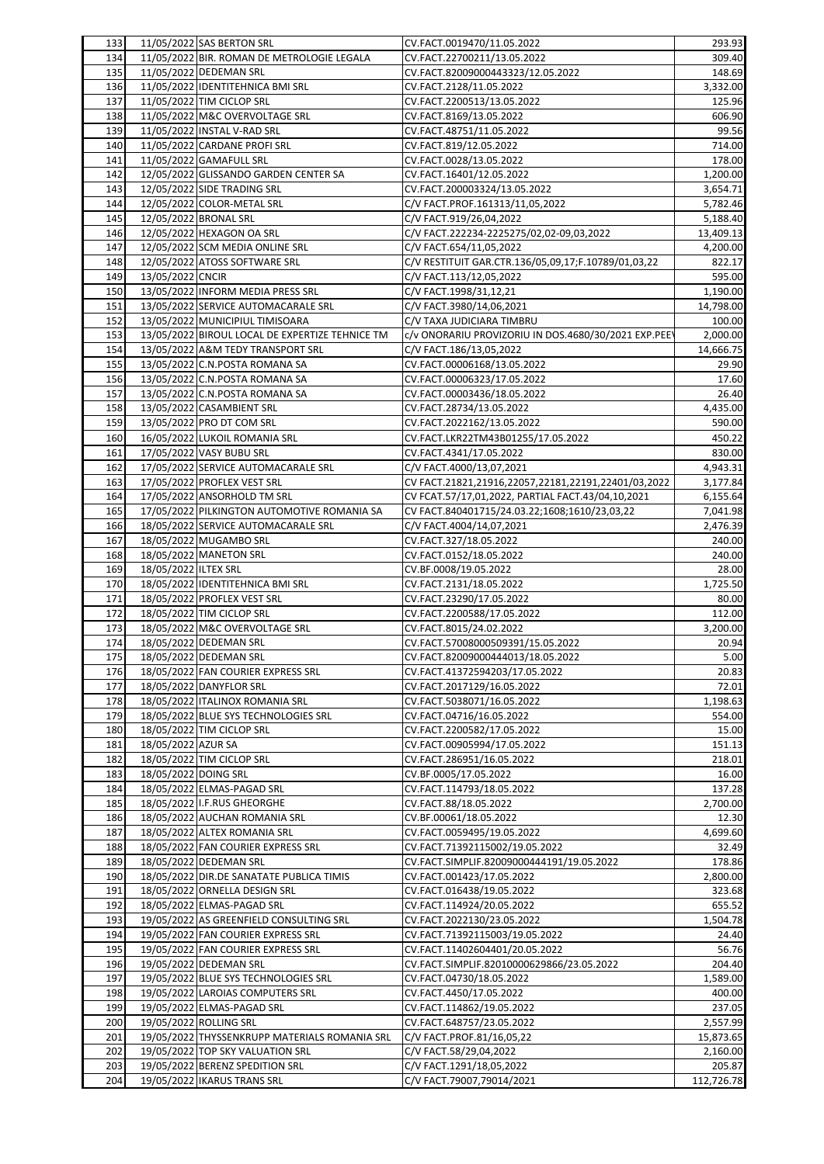| 133 |                      | 11/05/2022 SAS BERTON SRL                       | CV.FACT.0019470/11.05.2022                           | 293.93     |
|-----|----------------------|-------------------------------------------------|------------------------------------------------------|------------|
| 134 |                      | 11/05/2022 BIR. ROMAN DE METROLOGIE LEGALA      | CV.FACT.22700211/13.05.2022                          | 309.40     |
| 135 |                      | 11/05/2022 DEDEMAN SRL                          | CV.FACT.82009000443323/12.05.2022                    | 148.69     |
| 136 |                      | 11/05/2022 IDENTITEHNICA BMI SRL                | CV.FACT.2128/11.05.2022                              | 3,332.00   |
| 137 |                      | 11/05/2022 TIM CICLOP SRL                       | CV.FACT.2200513/13.05.2022                           | 125.96     |
| 138 |                      | 11/05/2022 M&C OVERVOLTAGE SRL                  | CV.FACT.8169/13.05.2022                              | 606.90     |
| 139 |                      | 11/05/2022 INSTAL V-RAD SRL                     | CV.FACT.48751/11.05.2022                             | 99.56      |
|     |                      |                                                 |                                                      |            |
| 140 |                      | 11/05/2022 CARDANE PROFI SRL                    | CV.FACT.819/12.05.2022                               | 714.00     |
| 141 |                      | 11/05/2022 GAMAFULL SRL                         | CV.FACT.0028/13.05.2022                              | 178.00     |
| 142 |                      | 12/05/2022 GLISSANDO GARDEN CENTER SA           | CV.FACT.16401/12.05.2022                             | 1,200.00   |
| 143 |                      | 12/05/2022 SIDE TRADING SRL                     | CV.FACT.200003324/13.05.2022                         | 3,654.71   |
| 144 |                      | 12/05/2022 COLOR-METAL SRL                      | C/V FACT.PROF.161313/11,05,2022                      | 5,782.46   |
| 145 |                      | 12/05/2022 BRONAL SRL                           | C/V FACT.919/26,04,2022                              | 5,188.40   |
| 146 |                      | 12/05/2022 HEXAGON OA SRL                       | C/V FACT.222234-2225275/02,02-09,03,2022             | 13,409.13  |
| 147 |                      | 12/05/2022 SCM MEDIA ONLINE SRL                 | C/V FACT.654/11,05,2022                              | 4,200.00   |
| 148 |                      | 12/05/2022 ATOSS SOFTWARE SRL                   | C/V RESTITUIT GAR.CTR.136/05,09,17;F.10789/01,03,22  | 822.17     |
| 149 | 13/05/2022 CNCIR     |                                                 | C/V FACT.113/12,05,2022                              | 595.00     |
|     |                      |                                                 |                                                      | 1,190.00   |
| 150 |                      | 13/05/2022 INFORM MEDIA PRESS SRL               | C/V FACT.1998/31,12,21                               |            |
| 151 |                      | 13/05/2022 SERVICE AUTOMACARALE SRL             | C/V FACT.3980/14,06,2021                             | 14,798.00  |
| 152 |                      | 13/05/2022 MUNICIPIUL TIMISOARA                 | C/V TAXA JUDICIARA TIMBRU                            | 100.00     |
| 153 |                      | 13/05/2022 BIROUL LOCAL DE EXPERTIZE TEHNICE TM | c/v ONORARIU PROVIZORIU IN DOS.4680/30/2021 EXP.PEEV | 2,000.00   |
| 154 |                      | 13/05/2022 A&M TEDY TRANSPORT SRL               | C/V FACT.186/13,05,2022                              | 14,666.75  |
| 155 |                      | 13/05/2022 C.N.POSTA ROMANA SA                  | CV.FACT.00006168/13.05.2022                          | 29.90      |
| 156 |                      | 13/05/2022 C.N.POSTA ROMANA SA                  | CV.FACT.00006323/17.05.2022                          | 17.60      |
| 157 |                      | 13/05/2022 C.N.POSTA ROMANA SA                  | CV.FACT.00003436/18.05.2022                          | 26.40      |
| 158 |                      | 13/05/2022 CASAMBIENT SRL                       | CV.FACT.28734/13.05.2022                             | 4,435.00   |
| 159 |                      | 13/05/2022 PRO DT COM SRL                       | CV.FACT.2022162/13.05.2022                           | 590.00     |
| 160 |                      | 16/05/2022 LUKOIL ROMANIA SRL                   | CV.FACT.LKR22TM43B01255/17.05.2022                   | 450.22     |
|     |                      |                                                 |                                                      |            |
| 161 |                      | 17/05/2022 VASY BUBU SRL                        | CV.FACT.4341/17.05.2022                              | 830.00     |
| 162 |                      | 17/05/2022 SERVICE AUTOMACARALE SRL             | C/V FACT.4000/13,07,2021                             | 4,943.31   |
| 163 |                      | 17/05/2022 PROFLEX VEST SRL                     | CV FACT.21821,21916,22057,22181,22191,22401/03,2022  | 3,177.84   |
| 164 |                      | 17/05/2022 ANSORHOLD TM SRL                     | CV FCAT.57/17,01,2022, PARTIAL FACT.43/04,10,2021    | 6,155.64   |
| 165 |                      | 17/05/2022 PILKINGTON AUTOMOTIVE ROMANIA SA     | CV FACT.840401715/24.03.22;1608;1610/23,03,22        | 7,041.98   |
| 166 |                      | 18/05/2022 SERVICE AUTOMACARALE SRL             | C/V FACT.4004/14,07,2021                             | 2,476.39   |
| 167 |                      | 18/05/2022 MUGAMBO SRL                          | CV.FACT.327/18.05.2022                               | 240.00     |
| 168 |                      | 18/05/2022 MANETON SRL                          | CV.FACT.0152/18.05.2022                              | 240.00     |
| 169 | 18/05/2022 ILTEX SRL |                                                 | CV.BF.0008/19.05.2022                                | 28.00      |
| 170 |                      | 18/05/2022 IDENTITEHNICA BMI SRL                | CV.FACT.2131/18.05.2022                              | 1,725.50   |
|     |                      | 18/05/2022 PROFLEX VEST SRL                     |                                                      |            |
| 171 |                      |                                                 | CV.FACT.23290/17.05.2022                             | 80.00      |
| 172 |                      | 18/05/2022 TIM CICLOP SRL                       | CV.FACT.2200588/17.05.2022                           | 112.00     |
| 173 |                      | 18/05/2022 M&C OVERVOLTAGE SRL                  | CV.FACT.8015/24.02.2022                              | 3,200.00   |
| 174 |                      | 18/05/2022 DEDEMAN SRL                          | CV.FACT.57008000509391/15.05.2022                    | 20.94      |
| 175 |                      | 18/05/2022 DEDEMAN SRL                          | CV.FACT.82009000444013/18.05.2022                    | 5.00       |
| 176 |                      | 18/05/2022 FAN COURIER EXPRESS SRL              | CV.FACT.41372594203/17.05.2022                       | 20.83      |
| 177 |                      | 18/05/2022 DANYFLOR SRL                         | CV.FACT.2017129/16.05.2022                           | 72.01      |
| 178 |                      | 18/05/2022 ITALINOX ROMANIA SRL                 | CV.FACT.5038071/16.05.2022                           | 1,198.63   |
| 179 |                      | 18/05/2022 BLUE SYS TECHNOLOGIES SRL            | CV.FACT.04716/16.05.2022                             | 554.00     |
| 180 |                      | 18/05/2022 TIM CICLOP SRL                       | CV.FACT.2200582/17.05.2022                           | 15.00      |
| 181 | 18/05/2022 AZUR SA   |                                                 | CV.FACT.00905994/17.05.2022                          | 151.13     |
|     |                      |                                                 |                                                      |            |
| 182 |                      | 18/05/2022 TIM CICLOP SRL                       | CV.FACT.286951/16.05.2022                            | 218.01     |
| 183 | 18/05/2022 DOING SRL |                                                 | CV.BF.0005/17.05.2022                                | 16.00      |
| 184 |                      | 18/05/2022 ELMAS-PAGAD SRL                      | CV.FACT.114793/18.05.2022                            | 137.28     |
| 185 |                      | 18/05/2022 I.F.RUS GHEORGHE                     | CV.FACT.88/18.05.2022                                | 2,700.00   |
| 186 |                      | 18/05/2022 AUCHAN ROMANIA SRL                   | CV.BF.00061/18.05.2022                               | 12.30      |
| 187 |                      | 18/05/2022 ALTEX ROMANIA SRL                    | CV.FACT.0059495/19.05.2022                           | 4,699.60   |
| 188 |                      | 18/05/2022 FAN COURIER EXPRESS SRL              | CV.FACT.71392115002/19.05.2022                       | 32.49      |
| 189 |                      | 18/05/2022 DEDEMAN SRL                          | CV.FACT.SIMPLIF.82009000444191/19.05.2022            | 178.86     |
| 190 |                      | 18/05/2022 DIR.DE SANATATE PUBLICA TIMIS        | CV.FACT.001423/17.05.2022                            | 2,800.00   |
| 191 |                      | 18/05/2022 ORNELLA DESIGN SRL                   | CV.FACT.016438/19.05.2022                            | 323.68     |
|     |                      | 18/05/2022 ELMAS-PAGAD SRL                      |                                                      |            |
| 192 |                      |                                                 | CV.FACT.114924/20.05.2022                            | 655.52     |
| 193 |                      | 19/05/2022 AS GREENFIELD CONSULTING SRL         | CV.FACT.2022130/23.05.2022                           | 1,504.78   |
| 194 |                      | 19/05/2022 FAN COURIER EXPRESS SRL              | CV.FACT.71392115003/19.05.2022                       | 24.40      |
| 195 |                      | 19/05/2022 FAN COURIER EXPRESS SRL              | CV.FACT.11402604401/20.05.2022                       | 56.76      |
| 196 |                      | 19/05/2022 DEDEMAN SRL                          | CV.FACT.SIMPLIF.82010000629866/23.05.2022            | 204.40     |
| 197 |                      | 19/05/2022 BLUE SYS TECHNOLOGIES SRL            | CV.FACT.04730/18.05.2022                             | 1,589.00   |
| 198 |                      | 19/05/2022 LAROIAS COMPUTERS SRL                | CV.FACT.4450/17.05.2022                              | 400.00     |
| 199 |                      | 19/05/2022 ELMAS-PAGAD SRL                      | CV.FACT.114862/19.05.2022                            | 237.05     |
| 200 |                      | 19/05/2022 ROLLING SRL                          | CV.FACT.648757/23.05.2022                            | 2,557.99   |
| 201 |                      | 19/05/2022 THYSSENKRUPP MATERIALS ROMANIA SRL   | C/V FACT.PROF.81/16,05,22                            | 15,873.65  |
|     |                      |                                                 |                                                      |            |
| 202 |                      | 19/05/2022 TOP SKY VALUATION SRL                | C/V FACT.58/29,04,2022                               | 2,160.00   |
| 203 |                      | 19/05/2022 BERENZ SPEDITION SRL                 | C/V FACT.1291/18,05,2022                             | 205.87     |
| 204 |                      | 19/05/2022 IKARUS TRANS SRL                     | C/V FACT.79007,79014/2021                            | 112,726.78 |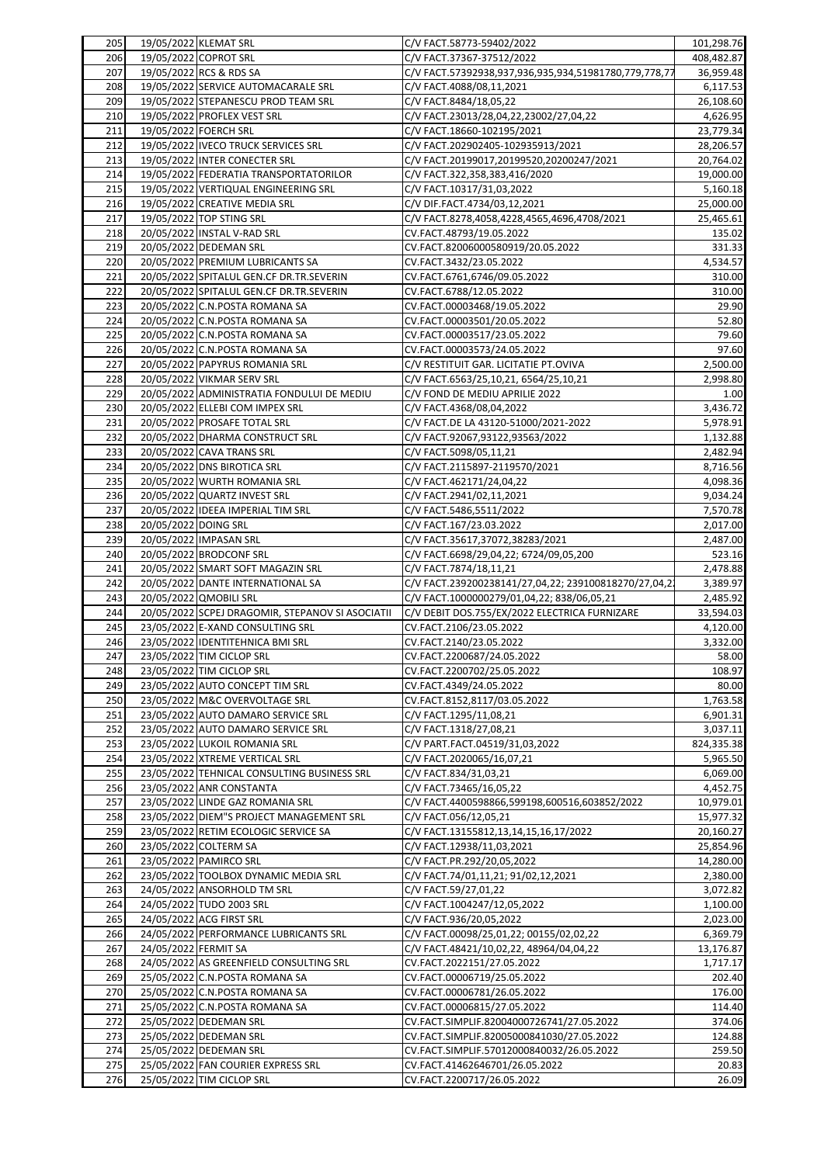| 205 |                      | 19/05/2022 KLEMAT SRL                                           | C/V FACT.58773-59402/2022                             | 101,298.76 |
|-----|----------------------|-----------------------------------------------------------------|-------------------------------------------------------|------------|
| 206 |                      | 19/05/2022 COPROT SRL                                           | C/V FACT.37367-37512/2022                             | 408,482.87 |
| 207 |                      | 19/05/2022 RCS & RDS SA                                         | C/V FACT.57392938,937,936,935,934,51981780,779,778,77 | 36,959.48  |
| 208 |                      | 19/05/2022 SERVICE AUTOMACARALE SRL                             | C/V FACT.4088/08,11,2021                              | 6,117.53   |
| 209 |                      | 19/05/2022 STEPANESCU PROD TEAM SRL                             | C/V FACT.8484/18,05,22                                | 26,108.60  |
| 210 |                      | 19/05/2022 PROFLEX VEST SRL                                     | C/V FACT.23013/28,04,22,23002/27,04,22                | 4,626.95   |
| 211 |                      | 19/05/2022 FOERCH SRL                                           | C/V FACT.18660-102195/2021                            | 23,779.34  |
| 212 |                      | 19/05/2022 IVECO TRUCK SERVICES SRL                             | C/V FACT.202902405-102935913/2021                     | 28,206.57  |
| 213 |                      | 19/05/2022 INTER CONECTER SRL                                   | C/V FACT.20199017,20199520,20200247/2021              | 20,764.02  |
| 214 |                      | 19/05/2022 FEDERATIA TRANSPORTATORILOR                          | C/V FACT.322,358,383,416/2020                         | 19,000.00  |
| 215 |                      | 19/05/2022 VERTIQUAL ENGINEERING SRL                            | C/V FACT.10317/31,03,2022                             | 5,160.18   |
| 216 |                      | 19/05/2022 CREATIVE MEDIA SRL                                   | C/V DIF.FACT.4734/03,12,2021                          | 25,000.00  |
| 217 |                      | 19/05/2022 TOP STING SRL                                        | C/V FACT.8278,4058,4228,4565,4696,4708/2021           | 25,465.61  |
| 218 |                      | 20/05/2022 INSTAL V-RAD SRL                                     | CV.FACT.48793/19.05.2022                              | 135.02     |
| 219 |                      | 20/05/2022 DEDEMAN SRL                                          | CV.FACT.82006000580919/20.05.2022                     | 331.33     |
| 220 |                      | 20/05/2022 PREMIUM LUBRICANTS SA                                | CV.FACT.3432/23.05.2022                               | 4,534.57   |
| 221 |                      | 20/05/2022 SPITALUL GEN.CF DR.TR.SEVERIN                        | CV.FACT.6761,6746/09.05.2022                          | 310.00     |
|     |                      |                                                                 |                                                       |            |
| 222 |                      | 20/05/2022 SPITALUL GEN.CF DR.TR.SEVERIN                        | CV.FACT.6788/12.05.2022                               | 310.00     |
| 223 |                      | 20/05/2022 C.N.POSTA ROMANA SA                                  | CV.FACT.00003468/19.05.2022                           | 29.90      |
| 224 |                      | 20/05/2022 C.N.POSTA ROMANA SA                                  | CV.FACT.00003501/20.05.2022                           | 52.80      |
| 225 |                      | 20/05/2022 C.N.POSTA ROMANA SA                                  | CV.FACT.00003517/23.05.2022                           | 79.60      |
| 226 |                      | 20/05/2022 C.N.POSTA ROMANA SA                                  | CV.FACT.00003573/24.05.2022                           | 97.60      |
| 227 |                      | 20/05/2022 PAPYRUS ROMANIA SRL                                  | C/V RESTITUIT GAR. LICITATIE PT.OVIVA                 | 2,500.00   |
| 228 |                      | 20/05/2022 VIKMAR SERV SRL                                      | C/V FACT.6563/25,10,21, 6564/25,10,21                 | 2,998.80   |
| 229 |                      | 20/05/2022 ADMINISTRATIA FONDULUI DE MEDIU                      | C/V FOND DE MEDIU APRILIE 2022                        | 1.00       |
| 230 |                      | 20/05/2022 ELLEBI COM IMPEX SRL                                 | C/V FACT.4368/08,04,2022                              | 3,436.72   |
| 231 |                      | 20/05/2022 PROSAFE TOTAL SRL                                    | C/V FACT.DE LA 43120-51000/2021-2022                  | 5,978.91   |
| 232 |                      | 20/05/2022 DHARMA CONSTRUCT SRL                                 | C/V FACT.92067,93122,93563/2022                       | 1,132.88   |
| 233 |                      | 20/05/2022 CAVA TRANS SRL                                       | C/V FACT.5098/05,11,21                                | 2,482.94   |
| 234 |                      | 20/05/2022 DNS BIROTICA SRL                                     | C/V FACT.2115897-2119570/2021                         | 8,716.56   |
| 235 |                      | 20/05/2022 WURTH ROMANIA SRL                                    | C/V FACT.462171/24,04,22                              | 4,098.36   |
| 236 |                      | 20/05/2022 QUARTZ INVEST SRL                                    | C/V FACT.2941/02,11,2021                              | 9,034.24   |
| 237 |                      | 20/05/2022 IDEEA IMPERIAL TIM SRL                               | C/V FACT.5486,5511/2022                               | 7,570.78   |
| 238 | 20/05/2022 DOING SRL |                                                                 | C/V FACT.167/23.03.2022                               | 2,017.00   |
| 239 |                      | 20/05/2022 IMPASAN SRL                                          | C/V FACT.35617,37072,38283/2021                       | 2,487.00   |
| 240 |                      | 20/05/2022 BRODCONF SRL                                         | C/V FACT.6698/29,04,22; 6724/09,05,200                | 523.16     |
| 241 |                      | 20/05/2022 SMART SOFT MAGAZIN SRL                               | C/V FACT.7874/18,11,21                                |            |
| 242 |                      | 20/05/2022 DANTE INTERNATIONAL SA                               |                                                       | 2,478.88   |
|     |                      |                                                                 | C/V FACT.239200238141/27,04,22; 239100818270/27,04,2  | 3,389.97   |
| 243 |                      | 20/05/2022 QMOBILI SRL                                          | C/V FACT.1000000279/01,04,22; 838/06,05,21            | 2,485.92   |
| 244 |                      | 20/05/2022 SCPEJ DRAGOMIR, STEPANOV SI ASOCIATII                | C/V DEBIT DOS.755/EX/2022 ELECTRICA FURNIZARE         | 33,594.03  |
| 245 |                      | 23/05/2022 E-XAND CONSULTING SRL                                | CV.FACT.2106/23.05.2022                               | 4,120.00   |
| 246 |                      | 23/05/2022 IDENTITEHNICA BMI SRL                                | CV.FACT.2140/23.05.2022                               | 3,332.00   |
| 247 |                      | 23/05/2022 TIM CICLOP SRL                                       | CV.FACT.2200687/24.05.2022                            | 58.00      |
| 248 |                      | 23/05/2022 TIM CICLOP SRL                                       | CV.FACT.2200702/25.05.2022                            | 108.97     |
| 249 |                      | 23/05/2022 AUTO CONCEPT TIM SRL                                 | CV.FACT.4349/24.05.2022                               | 80.00      |
| 250 |                      | 23/05/2022 M&C OVERVOLTAGE SRL                                  | CV.FACT.8152,8117/03.05.2022                          | 1,763.58   |
| 251 |                      | 23/05/2022 AUTO DAMARO SERVICE SRL                              | C/V FACT.1295/11,08,21                                | 6,901.31   |
| 252 |                      | 23/05/2022 AUTO DAMARO SERVICE SRL                              | C/V FACT.1318/27,08,21                                | 3,037.11   |
| 253 |                      | 23/05/2022 LUKOIL ROMANIA SRL                                   | C/V PART.FACT.04519/31,03,2022                        | 824,335.38 |
| 254 |                      | 23/05/2022 XTREME VERTICAL SRL                                  | C/V FACT.2020065/16,07,21                             | 5,965.50   |
| 255 |                      | 23/05/2022 TEHNICAL CONSULTING BUSINESS SRL                     | C/V FACT.834/31,03,21                                 | 6,069.00   |
| 256 |                      | 23/05/2022 ANR CONSTANTA                                        | C/V FACT.73465/16,05,22                               | 4,452.75   |
| 257 |                      | 23/05/2022 LINDE GAZ ROMANIA SRL                                | C/V FACT.4400598866,599198,600516,603852/2022         | 10,979.01  |
| 258 |                      | 23/05/2022 DIEM"S PROJECT MANAGEMENT SRL                        | C/V FACT.056/12,05,21                                 | 15,977.32  |
| 259 |                      |                                                                 |                                                       |            |
|     |                      |                                                                 |                                                       |            |
|     |                      | 23/05/2022 RETIM ECOLOGIC SERVICE SA                            | C/V FACT.13155812,13,14,15,16,17/2022                 | 20,160.27  |
| 260 |                      | 23/05/2022 COLTERM SA                                           | C/V FACT.12938/11,03,2021                             | 25,854.96  |
| 261 |                      | 23/05/2022 PAMIRCO SRL                                          | C/V FACT.PR.292/20,05,2022                            | 14,280.00  |
| 262 |                      | 23/05/2022 TOOLBOX DYNAMIC MEDIA SRL                            | C/V FACT.74/01,11,21; 91/02,12,2021                   | 2,380.00   |
| 263 |                      | 24/05/2022 ANSORHOLD TM SRL                                     | C/V FACT.59/27,01,22                                  | 3,072.82   |
| 264 |                      | 24/05/2022 TUDO 2003 SRL                                        | C/V FACT.1004247/12,05,2022                           | 1,100.00   |
| 265 |                      | 24/05/2022 ACG FIRST SRL                                        | C/V FACT.936/20,05,2022                               | 2,023.00   |
| 266 |                      | 24/05/2022 PERFORMANCE LUBRICANTS SRL                           | C/V FACT.00098/25,01,22; 00155/02,02,22               | 6,369.79   |
| 267 | 24/05/2022 FERMIT SA |                                                                 | C/V FACT.48421/10,02,22, 48964/04,04,22               | 13,176.87  |
| 268 |                      | 24/05/2022 AS GREENFIELD CONSULTING SRL                         | CV.FACT.2022151/27.05.2022                            | 1,717.17   |
| 269 |                      | 25/05/2022 C.N.POSTA ROMANA SA                                  | CV.FACT.00006719/25.05.2022                           | 202.40     |
| 270 |                      | 25/05/2022 C.N.POSTA ROMANA SA                                  | CV.FACT.00006781/26.05.2022                           | 176.00     |
| 271 |                      | 25/05/2022 C.N.POSTA ROMANA SA                                  | CV.FACT.00006815/27.05.2022                           | 114.40     |
| 272 |                      | 25/05/2022 DEDEMAN SRL                                          | CV.FACT.SIMPLIF.82004000726741/27.05.2022             | 374.06     |
| 273 |                      | 25/05/2022 DEDEMAN SRL                                          | CV.FACT.SIMPLIF.82005000841030/27.05.2022             | 124.88     |
| 274 |                      | 25/05/2022 DEDEMAN SRL                                          | CV.FACT.SIMPLIF.57012000840032/26.05.2022             | 259.50     |
| 275 |                      | 25/05/2022 FAN COURIER EXPRESS SRL<br>25/05/2022 TIM CICLOP SRL | CV.FACT.41462646701/26.05.2022                        | 20.83      |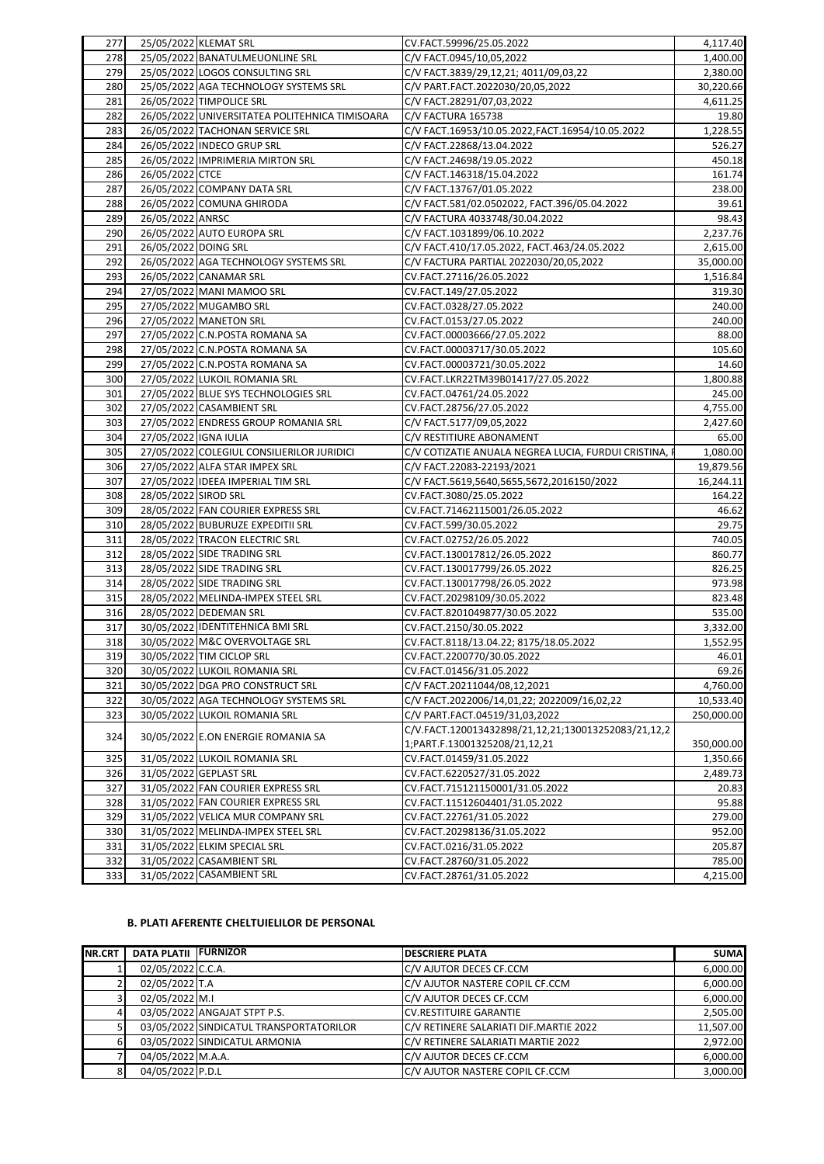| 277 |                       | 25/05/2022 KLEMAT SRL                          | CV.FACT.59996/25.05.2022                              | 4,117.40   |
|-----|-----------------------|------------------------------------------------|-------------------------------------------------------|------------|
| 278 |                       | 25/05/2022 BANATULMEUONLINE SRL                | C/V FACT.0945/10,05,2022                              | 1,400.00   |
| 279 |                       | 25/05/2022 LOGOS CONSULTING SRL                | C/V FACT.3839/29,12,21; 4011/09,03,22                 | 2,380.00   |
| 280 |                       | 25/05/2022 AGA TECHNOLOGY SYSTEMS SRL          | C/V PART.FACT.2022030/20,05,2022                      | 30,220.66  |
| 281 |                       | 26/05/2022 TIMPOLICE SRL                       | C/V FACT.28291/07,03,2022                             | 4,611.25   |
| 282 |                       | 26/05/2022 UNIVERSITATEA POLITEHNICA TIMISOARA | C/V FACTURA 165738                                    | 19.80      |
| 283 |                       | 26/05/2022 TACHONAN SERVICE SRL                | C/V FACT.16953/10.05.2022, FACT.16954/10.05.2022      | 1,228.55   |
| 284 |                       | 26/05/2022 INDECO GRUP SRL                     | C/V FACT.22868/13.04.2022                             | 526.27     |
| 285 |                       | 26/05/2022 IMPRIMERIA MIRTON SRL               | C/V FACT.24698/19.05.2022                             | 450.18     |
| 286 | 26/05/2022 CTCE       |                                                | C/V FACT.146318/15.04.2022                            | 161.74     |
| 287 |                       | 26/05/2022 COMPANY DATA SRL                    | C/V FACT.13767/01.05.2022                             | 238.00     |
| 288 |                       | 26/05/2022 COMUNA GHIRODA                      | C/V FACT.581/02.0502022, FACT.396/05.04.2022          | 39.61      |
| 289 | 26/05/2022 ANRSC      |                                                | C/V FACTURA 4033748/30.04.2022                        | 98.43      |
| 290 |                       | 26/05/2022 AUTO EUROPA SRL                     | C/V FACT.1031899/06.10.2022                           | 2,237.76   |
| 291 | 26/05/2022 DOING SRL  |                                                | C/V FACT.410/17.05.2022, FACT.463/24.05.2022          | 2,615.00   |
| 292 |                       | 26/05/2022 AGA TECHNOLOGY SYSTEMS SRL          | C/V FACTURA PARTIAL 2022030/20,05,2022                | 35,000.00  |
| 293 |                       | 26/05/2022 CANAMAR SRL                         | CV.FACT.27116/26.05.2022                              | 1,516.84   |
| 294 |                       | 27/05/2022 MANI MAMOO SRL                      | CV.FACT.149/27.05.2022                                | 319.30     |
| 295 |                       | 27/05/2022 MUGAMBO SRL                         | CV.FACT.0328/27.05.2022                               | 240.00     |
| 296 |                       | 27/05/2022 MANETON SRL                         | CV.FACT.0153/27.05.2022                               | 240.00     |
| 297 |                       | 27/05/2022 C.N.POSTA ROMANA SA                 | CV.FACT.00003666/27.05.2022                           | 88.00      |
| 298 |                       | 27/05/2022 C.N.POSTA ROMANA SA                 | CV.FACT.00003717/30.05.2022                           | 105.60     |
| 299 |                       | 27/05/2022 C.N.POSTA ROMANA SA                 | CV.FACT.00003721/30.05.2022                           | 14.60      |
| 300 |                       | 27/05/2022 LUKOIL ROMANIA SRL                  | CV.FACT.LKR22TM39B01417/27.05.2022                    | 1,800.88   |
| 301 |                       | 27/05/2022 BLUE SYS TECHNOLOGIES SRL           | CV.FACT.04761/24.05.2022                              | 245.00     |
| 302 |                       | 27/05/2022 CASAMBIENT SRL                      | CV.FACT.28756/27.05.2022                              | 4,755.00   |
| 303 |                       | 27/05/2022 ENDRESS GROUP ROMANIA SRL           | C/V FACT.5177/09,05,2022                              | 2,427.60   |
| 304 | 27/05/2022 IGNA IULIA |                                                | C/V RESTITIURE ABONAMENT                              | 65.00      |
| 305 |                       | 27/05/2022 COLEGIUL CONSILIERILOR JURIDICI     | C/V COTIZATIE ANUALA NEGREA LUCIA, FURDUI CRISTINA, I | 1,080.00   |
| 306 |                       | 27/05/2022 ALFA STAR IMPEX SRL                 | C/V FACT.22083-22193/2021                             | 19,879.56  |
| 307 |                       | 27/05/2022 IDEEA IMPERIAL TIM SRL              | C/V FACT.5619,5640,5655,5672,2016150/2022             | 16,244.11  |
| 308 | 28/05/2022 SIROD SRL  |                                                | CV.FACT.3080/25.05.2022                               | 164.22     |
| 309 |                       | 28/05/2022 FAN COURIER EXPRESS SRL             | CV.FACT.71462115001/26.05.2022                        | 46.62      |
| 310 |                       | 28/05/2022 BUBURUZE EXPEDITII SRL              | CV.FACT.599/30.05.2022                                | 29.75      |
| 311 |                       | 28/05/2022 TRACON ELECTRIC SRL                 | CV.FACT.02752/26.05.2022                              | 740.05     |
| 312 |                       | 28/05/2022 SIDE TRADING SRL                    | CV.FACT.130017812/26.05.2022                          | 860.77     |
| 313 |                       | 28/05/2022 SIDE TRADING SRL                    | CV.FACT.130017799/26.05.2022                          | 826.25     |
| 314 |                       | 28/05/2022 SIDE TRADING SRL                    | CV.FACT.130017798/26.05.2022                          | 973.98     |
| 315 |                       | 28/05/2022 MELINDA-IMPEX STEEL SRL             | CV.FACT.20298109/30.05.2022                           | 823.48     |
| 316 |                       | 28/05/2022 DEDEMAN SRL                         | CV.FACT.8201049877/30.05.2022                         | 535.00     |
| 317 |                       | 30/05/2022 IDENTITEHNICA BMI SRL               | CV.FACT.2150/30.05.2022                               | 3,332.00   |
| 318 |                       | 30/05/2022 M&C OVERVOLTAGE SRL                 | CV.FACT.8118/13.04.22; 8175/18.05.2022                | 1,552.95   |
| 319 |                       | 30/05/2022 TIM CICLOP SRL                      | CV.FACT.2200770/30.05.2022                            | 46.01      |
| 320 |                       | 30/05/2022 LUKOIL ROMANIA SRL                  | CV.FACT.01456/31.05.2022                              | 69.26      |
| 321 |                       | 30/05/2022 DGA PRO CONSTRUCT SRL               | C/V FACT.20211044/08,12,2021                          | 4,760.00   |
| 322 |                       | 30/05/2022 AGA TECHNOLOGY SYSTEMS SRL          | C/V FACT.2022006/14,01,22; 2022009/16,02,22           | 10,533.40  |
| 323 |                       | 30/05/2022 LUKOIL ROMANIA SRL                  | C/V PART.FACT.04519/31,03,2022                        | 250,000.00 |
| 324 |                       | 30/05/2022 E.ON ENERGIE ROMANIA SA             | C/V.FACT.120013432898/21,12,21;130013252083/21,12,2   |            |
|     |                       |                                                | 1; PART.F.13001325208/21,12,21                        | 350,000.00 |
| 325 |                       | 31/05/2022 LUKOIL ROMANIA SRL                  | CV.FACT.01459/31.05.2022                              | 1,350.66   |
| 326 |                       | 31/05/2022 GEPLAST SRL                         | CV.FACT.6220527/31.05.2022                            | 2,489.73   |
| 327 |                       | 31/05/2022 FAN COURIER EXPRESS SRL             | CV.FACT.715121150001/31.05.2022                       | 20.83      |
| 328 |                       | 31/05/2022 FAN COURIER EXPRESS SRL             | CV.FACT.11512604401/31.05.2022                        | 95.88      |
| 329 |                       | 31/05/2022 VELICA MUR COMPANY SRL              | CV.FACT.22761/31.05.2022                              | 279.00     |
| 330 |                       | 31/05/2022 MELINDA-IMPEX STEEL SRL             | CV.FACT.20298136/31.05.2022                           | 952.00     |
| 331 |                       | 31/05/2022 ELKIM SPECIAL SRL                   | CV.FACT.0216/31.05.2022                               | 205.87     |
| 332 |                       | 31/05/2022 CASAMBIENT SRL                      | CV.FACT.28760/31.05.2022                              | 785.00     |
| 333 |                       | 31/05/2022 CASAMBIENT SRL                      | CV.FACT.28761/31.05.2022                              | 4,215.00   |

## **B. PLATI AFERENTE CHELTUIELILOR DE PERSONAL**

| <b>INR.CRT</b> | <b>DATA PLATII FURNIZOR</b> |                                         | <b>DESCRIERE PLATA</b>                 | <b>SUMA</b> |
|----------------|-----------------------------|-----------------------------------------|----------------------------------------|-------------|
|                | 02/05/2022 C.C.A.           |                                         | C/V AJUTOR DECES CF.CCM                | 6,000.00    |
|                | 02/05/2022 T.A              |                                         | C/V AJUTOR NASTERE COPIL CF.CCM        | 6,000.00    |
| 31             | 02/05/2022 M.I              |                                         | C/V AJUTOR DECES CF.CCM                | 6,000.00    |
| $\overline{4}$ |                             | 03/05/2022 ANGAJAT STPT P.S.            | <b>CV.RESTITUIRE GARANTIE</b>          | 2,505.00    |
|                |                             | 03/05/2022 SINDICATUL TRANSPORTATORILOR | C/V RETINERE SALARIATI DIF.MARTIE 2022 | 11,507.00   |
| 6              |                             | 03/05/2022 SINDICATUL ARMONIA           | C/V RETINERE SALARIATI MARTIE 2022     | 2,972.00    |
|                | 04/05/2022 M.A.A.           |                                         | C/V AJUTOR DECES CF.CCM                | 6,000.00    |
| 8              | 04/05/2022 P.D.L            |                                         | C/V AJUTOR NASTERE COPIL CF.CCM        | 3.000.00    |